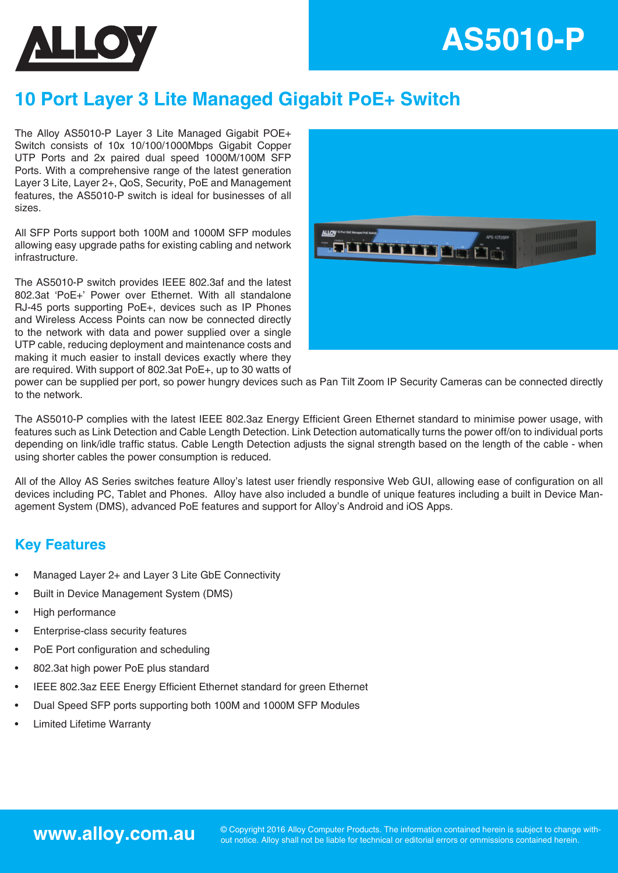



# **10 Port Layer 3 Lite Managed Gigabit PoE+ Switch**

The Alloy AS5010-P Layer 3 Lite Managed Gigabit POE+ Switch consists of 10x 10/100/1000Mbps Gigabit Copper UTP Ports and 2x paired dual speed 1000M/100M SFP Ports. With a comprehensive range of the latest generation Layer 3 Lite, Layer 2+, QoS, Security, PoE and Management features, the AS5010-P switch is ideal for businesses of all sizes.

All SFP Ports support both 100M and 1000M SFP modules allowing easy upgrade paths for existing cabling and network infrastructure.

The AS5010-P switch provides IEEE 802.3af and the latest 802.3at 'PoE+' Power over Ethernet. With all standalone RJ-45 ports supporting PoE+, devices such as IP Phones and Wireless Access Points can now be connected directly to the network with data and power supplied over a single UTP cable, reducing deployment and maintenance costs and making it much easier to install devices exactly where they are required. With support of 802.3at PoE+, up to 30 watts of



power can be supplied per port, so power hungry devices such as Pan Tilt Zoom IP Security Cameras can be connected directly to the network.

The AS5010-P complies with the latest IEEE 802.3az Energy Efficient Green Ethernet standard to minimise power usage, with features such as Link Detection and Cable Length Detection. Link Detection automatically turns the power off/on to individual ports depending on link/idle traffic status. Cable Length Detection adjusts the signal strength based on the length of the cable - when using shorter cables the power consumption is reduced.

All of the Alloy AS Series switches feature Alloy's latest user friendly responsive Web GUI, allowing ease of configuration on all devices including PC, Tablet and Phones. Alloy have also included a bundle of unique features including a built in Device Management System (DMS), advanced PoE features and support for Alloy's Android and iOS Apps.

## **Key Features**

- Managed Layer 2+ and Layer 3 Lite GbE Connectivity
- Built in Device Management System (DMS)
- High performance
- Enterprise-class security features
- PoE Port configuration and scheduling
- 802.3at high power PoE plus standard
- IEEE 802.3az EEE Energy Efficient Ethernet standard for green Ethernet
- Dual Speed SFP ports supporting both 100M and 1000M SFP Modules
- Limited Lifetime Warranty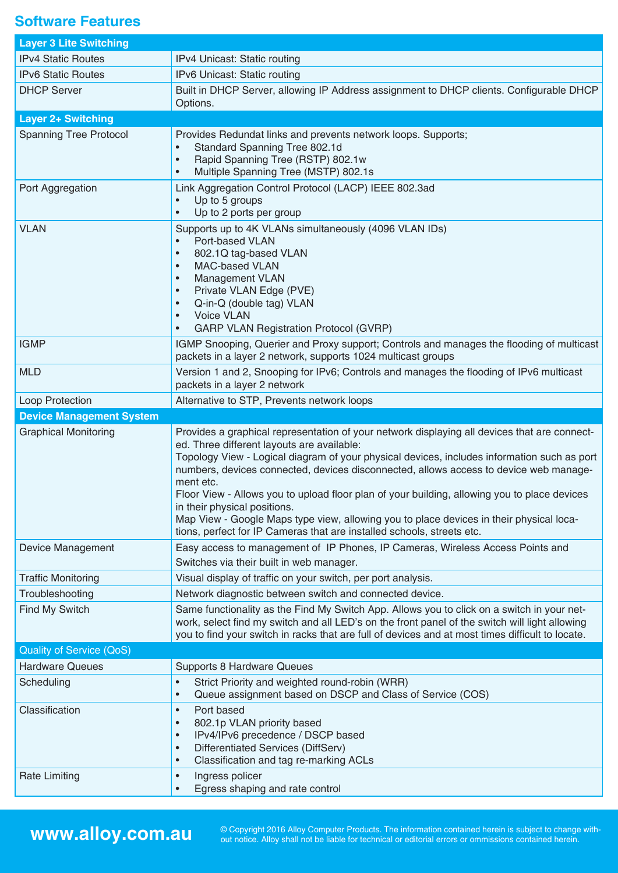## **Software Features**

| <b>Layer 3 Lite Switching</b>   |                                                                                                                                                                                                                                                                                                                                                                                                                                                                                                                                                                            |
|---------------------------------|----------------------------------------------------------------------------------------------------------------------------------------------------------------------------------------------------------------------------------------------------------------------------------------------------------------------------------------------------------------------------------------------------------------------------------------------------------------------------------------------------------------------------------------------------------------------------|
| <b>IPv4 Static Routes</b>       | IPv4 Unicast: Static routing                                                                                                                                                                                                                                                                                                                                                                                                                                                                                                                                               |
| <b>IPv6 Static Routes</b>       | IPv6 Unicast: Static routing                                                                                                                                                                                                                                                                                                                                                                                                                                                                                                                                               |
| <b>DHCP Server</b>              | Built in DHCP Server, allowing IP Address assignment to DHCP clients. Configurable DHCP<br>Options.                                                                                                                                                                                                                                                                                                                                                                                                                                                                        |
| <b>Layer 2+ Switching</b>       |                                                                                                                                                                                                                                                                                                                                                                                                                                                                                                                                                                            |
| <b>Spanning Tree Protocol</b>   | Provides Redundat links and prevents network loops. Supports;<br>Standard Spanning Tree 802.1d<br>$\bullet$<br>Rapid Spanning Tree (RSTP) 802.1w<br>$\bullet$<br>Multiple Spanning Tree (MSTP) 802.1s<br>$\bullet$                                                                                                                                                                                                                                                                                                                                                         |
| Port Aggregation                | Link Aggregation Control Protocol (LACP) IEEE 802.3ad<br>Up to 5 groups<br>Up to 2 ports per group<br>$\bullet$                                                                                                                                                                                                                                                                                                                                                                                                                                                            |
| <b>VLAN</b>                     | Supports up to 4K VLANs simultaneously (4096 VLAN IDs)<br>Port-based VLAN<br>$\bullet$<br>802.1Q tag-based VLAN<br>$\bullet$<br><b>MAC-based VLAN</b><br>$\bullet$<br>Management VLAN<br>$\bullet$<br>Private VLAN Edge (PVE)<br>$\bullet$<br>Q-in-Q (double tag) VLAN<br>$\bullet$<br><b>Voice VLAN</b><br>$\bullet$<br><b>GARP VLAN Registration Protocol (GVRP)</b><br>$\bullet$                                                                                                                                                                                        |
| <b>IGMP</b>                     | IGMP Snooping, Querier and Proxy support; Controls and manages the flooding of multicast<br>packets in a layer 2 network, supports 1024 multicast groups                                                                                                                                                                                                                                                                                                                                                                                                                   |
| <b>MLD</b>                      | Version 1 and 2, Snooping for IPv6; Controls and manages the flooding of IPv6 multicast<br>packets in a layer 2 network                                                                                                                                                                                                                                                                                                                                                                                                                                                    |
| Loop Protection                 | Alternative to STP, Prevents network loops                                                                                                                                                                                                                                                                                                                                                                                                                                                                                                                                 |
|                                 |                                                                                                                                                                                                                                                                                                                                                                                                                                                                                                                                                                            |
| <b>Device Management System</b> |                                                                                                                                                                                                                                                                                                                                                                                                                                                                                                                                                                            |
| <b>Graphical Monitoring</b>     | Provides a graphical representation of your network displaying all devices that are connect-<br>ed. Three different layouts are available:<br>Topology View - Logical diagram of your physical devices, includes information such as port<br>numbers, devices connected, devices disconnected, allows access to device web manage-<br>ment etc.<br>Floor View - Allows you to upload floor plan of your building, allowing you to place devices<br>in their physical positions.<br>Map View - Google Maps type view, allowing you to place devices in their physical loca- |
| Device Management               | tions, perfect for IP Cameras that are installed schools, streets etc.<br>Easy access to management of IP Phones, IP Cameras, Wireless Access Points and                                                                                                                                                                                                                                                                                                                                                                                                                   |
| <b>Traffic Monitoring</b>       | Switches via their built in web manager.<br>Visual display of traffic on your switch, per port analysis.                                                                                                                                                                                                                                                                                                                                                                                                                                                                   |
| Troubleshooting                 | Network diagnostic between switch and connected device.                                                                                                                                                                                                                                                                                                                                                                                                                                                                                                                    |
| Find My Switch                  | Same functionality as the Find My Switch App. Allows you to click on a switch in your net-<br>work, select find my switch and all LED's on the front panel of the switch will light allowing<br>you to find your switch in racks that are full of devices and at most times difficult to locate.                                                                                                                                                                                                                                                                           |
| <b>Quality of Service (QoS)</b> |                                                                                                                                                                                                                                                                                                                                                                                                                                                                                                                                                                            |
| <b>Hardware Queues</b>          | <b>Supports 8 Hardware Queues</b>                                                                                                                                                                                                                                                                                                                                                                                                                                                                                                                                          |
| Scheduling                      | Strict Priority and weighted round-robin (WRR)<br>$\bullet$<br>Queue assignment based on DSCP and Class of Service (COS)<br>$\bullet$                                                                                                                                                                                                                                                                                                                                                                                                                                      |
| Classification                  | Port based<br>$\bullet$<br>802.1p VLAN priority based<br>$\bullet$<br>IPv4/IPv6 precedence / DSCP based<br>$\bullet$<br>Differentiated Services (DiffServ)<br>$\bullet$<br>Classification and tag re-marking ACLs<br>$\bullet$                                                                                                                                                                                                                                                                                                                                             |

**WWW.alloy.com.au** © Copyright 2016 Alloy Computer Products. The information contained herein is subject to change with-<br>out notice. Alloy shall not be liable for technical or editorial errors or ommissions contained herei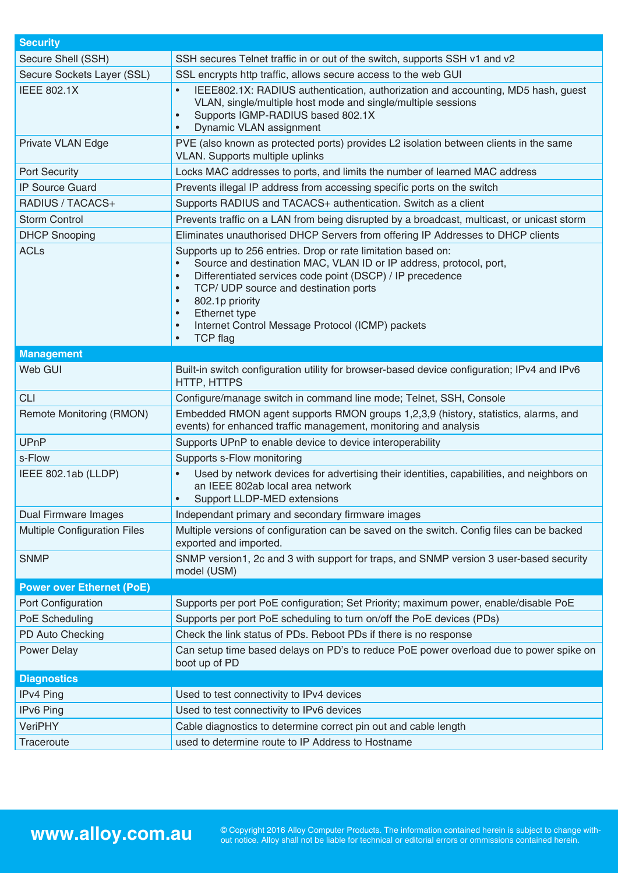| <b>Security</b>                     |                                                                                                                                                                                                                                                                                                                                                                                                          |
|-------------------------------------|----------------------------------------------------------------------------------------------------------------------------------------------------------------------------------------------------------------------------------------------------------------------------------------------------------------------------------------------------------------------------------------------------------|
| Secure Shell (SSH)                  | SSH secures Telnet traffic in or out of the switch, supports SSH v1 and v2                                                                                                                                                                                                                                                                                                                               |
| Secure Sockets Layer (SSL)          | SSL encrypts http traffic, allows secure access to the web GUI                                                                                                                                                                                                                                                                                                                                           |
| <b>IEEE 802.1X</b>                  | IEEE802.1X: RADIUS authentication, authorization and accounting, MD5 hash, quest<br>VLAN, single/multiple host mode and single/multiple sessions<br>Supports IGMP-RADIUS based 802.1X<br>$\bullet$<br>Dynamic VLAN assignment                                                                                                                                                                            |
| Private VLAN Edge                   | PVE (also known as protected ports) provides L2 isolation between clients in the same<br>VLAN. Supports multiple uplinks                                                                                                                                                                                                                                                                                 |
| <b>Port Security</b>                | Locks MAC addresses to ports, and limits the number of learned MAC address                                                                                                                                                                                                                                                                                                                               |
| <b>IP Source Guard</b>              | Prevents illegal IP address from accessing specific ports on the switch                                                                                                                                                                                                                                                                                                                                  |
| RADIUS / TACACS+                    | Supports RADIUS and TACACS+ authentication. Switch as a client                                                                                                                                                                                                                                                                                                                                           |
| <b>Storm Control</b>                | Prevents traffic on a LAN from being disrupted by a broadcast, multicast, or unicast storm                                                                                                                                                                                                                                                                                                               |
| <b>DHCP Snooping</b>                | Eliminates unauthorised DHCP Servers from offering IP Addresses to DHCP clients                                                                                                                                                                                                                                                                                                                          |
| <b>ACLs</b>                         | Supports up to 256 entries. Drop or rate limitation based on:<br>Source and destination MAC, VLAN ID or IP address, protocol, port,<br>Differentiated services code point (DSCP) / IP precedence<br>$\bullet$<br>TCP/ UDP source and destination ports<br>$\bullet$<br>802.1p priority<br>$\bullet$<br>Ethernet type<br>Internet Control Message Protocol (ICMP) packets<br><b>TCP flag</b><br>$\bullet$ |
| <b>Management</b>                   |                                                                                                                                                                                                                                                                                                                                                                                                          |
| Web GUI                             | Built-in switch configuration utility for browser-based device configuration; IPv4 and IPv6<br>HTTP, HTTPS                                                                                                                                                                                                                                                                                               |
| <b>CLI</b>                          | Configure/manage switch in command line mode; Telnet, SSH, Console                                                                                                                                                                                                                                                                                                                                       |
| Remote Monitoring (RMON)            | Embedded RMON agent supports RMON groups 1,2,3,9 (history, statistics, alarms, and<br>events) for enhanced traffic management, monitoring and analysis                                                                                                                                                                                                                                                   |
| <b>UPnP</b>                         | Supports UPnP to enable device to device interoperability                                                                                                                                                                                                                                                                                                                                                |
| s-Flow                              | Supports s-Flow monitoring                                                                                                                                                                                                                                                                                                                                                                               |
| IEEE 802.1ab (LLDP)                 | Used by network devices for advertising their identities, capabilities, and neighbors on<br>an IEEE 802ab local area network<br>Support LLDP-MED extensions                                                                                                                                                                                                                                              |
| <b>Dual Firmware Images</b>         | Independant primary and secondary firmware images                                                                                                                                                                                                                                                                                                                                                        |
| <b>Multiple Configuration Files</b> | Multiple versions of configuration can be saved on the switch. Config files can be backed<br>exported and imported.                                                                                                                                                                                                                                                                                      |
| <b>SNMP</b>                         | SNMP version1, 2c and 3 with support for traps, and SNMP version 3 user-based security<br>model (USM)                                                                                                                                                                                                                                                                                                    |
| <b>Power over Ethernet (PoE)</b>    |                                                                                                                                                                                                                                                                                                                                                                                                          |
| Port Configuration                  | Supports per port PoE configuration; Set Priority; maximum power, enable/disable PoE                                                                                                                                                                                                                                                                                                                     |
| PoE Scheduling                      | Supports per port PoE scheduling to turn on/off the PoE devices (PDs)                                                                                                                                                                                                                                                                                                                                    |
| PD Auto Checking                    | Check the link status of PDs. Reboot PDs if there is no response                                                                                                                                                                                                                                                                                                                                         |
| <b>Power Delay</b>                  | Can setup time based delays on PD's to reduce PoE power overload due to power spike on<br>boot up of PD                                                                                                                                                                                                                                                                                                  |
| <b>Diagnostics</b>                  |                                                                                                                                                                                                                                                                                                                                                                                                          |
| IPv4 Ping                           | Used to test connectivity to IPv4 devices                                                                                                                                                                                                                                                                                                                                                                |
| IPv6 Ping                           | Used to test connectivity to IPv6 devices                                                                                                                                                                                                                                                                                                                                                                |
| <b>VeriPHY</b>                      | Cable diagnostics to determine correct pin out and cable length                                                                                                                                                                                                                                                                                                                                          |
| Traceroute                          | used to determine route to IP Address to Hostname                                                                                                                                                                                                                                                                                                                                                        |

WWW.alloy.com.au <sup>© Copyright 2016 Alloy Computer Products. The information contained herein is subject to change with-<br>out notice. Alloy shall not be liable for technical or editorial errors or ommissions contained herein</sup>